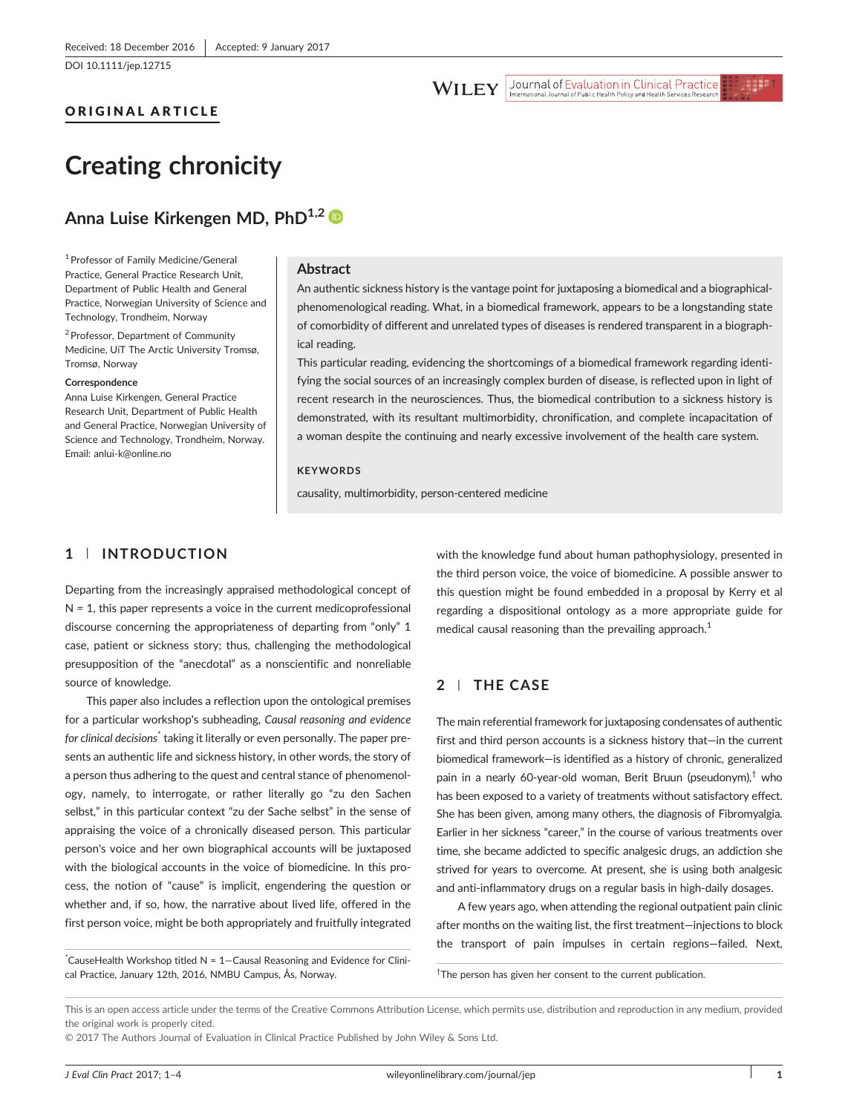[DOI 10.1111/jep.12715](http://dx.doi.org/10.1111/jep.12715)

## ORIGINAL ARTICLE

#### Journal of Evaluation in Clinical Practice **WILEY**

# Creating chronicity

# Anna Luise Kirkengen MD, PhD<sup>1,2</sup>

1Professor of Family Medicine/General Practice, General Practice Research Unit, Department of Public Health and General Practice, Norwegian University of Science and Technology, Trondheim, Norway

<sup>2</sup> Professor, Department of Community Medicine, UiT The Arctic University Tromsø, Tromsø, Norway

#### **Correspondence**

Anna Luise Kirkengen, General Practice Research Unit, Department of Public Health and General Practice, Norwegian University of Science and Technology, Trondheim, Norway. Email: anlui‐[k@online.no](mailto:anlui-k@online.no)

#### Abstract

An authentic sickness history is the vantage point for juxtaposing a biomedical and a biographical‐ phenomenological reading. What, in a biomedical framework, appears to be a longstanding state of comorbidity of different and unrelated types of diseases is rendered transparent in a biographical reading.

This particular reading, evidencing the shortcomings of a biomedical framework regarding identifying the social sources of an increasingly complex burden of disease, is reflected upon in light of recent research in the neurosciences. Thus, the biomedical contribution to a sickness history is demonstrated, with its resultant multimorbidity, chronification, and complete incapacitation of a woman despite the continuing and nearly excessive involvement of the health care system.

#### **KEYWORDS**

causality, multimorbidity, person‐centered medicine

## 1 | INTRODUCTION

Departing from the increasingly appraised methodological concept of  $N = 1$ , this paper represents a voice in the current medicoprofessional discourse concerning the appropriateness of departing from "only" 1 case, patient or sickness story; thus, challenging the methodological presupposition of the "anecdotal" as a nonscientific and nonreliable source of knowledge.

This paper also includes a reflection upon the ontological premises for a particular workshop's subheading, Causal reasoning and evidence for clinical decisions<sup>\*</sup> taking it literally or even personally. The paper presents an authentic life and sickness history, in other words, the story of a person thus adhering to the quest and central stance of phenomenology, namely, to interrogate, or rather literally go "zu den Sachen selbst," in this particular context "zu der Sache selbst" in the sense of appraising the voice of a chronically diseased person. This particular person's voice and her own biographical accounts will be juxtaposed with the biological accounts in the voice of biomedicine. In this process, the notion of "cause" is implicit, engendering the question or whether and, if so, how, the narrative about lived life, offered in the first person voice, might be both appropriately and fruitfully integrated

\* CauseHealth Workshop titled N = 1—Causal Reasoning and Evidence for Clinical Practice, January 12th, 2016, NMBU Campus, Ås, Norway. †

with the knowledge fund about human pathophysiology, presented in the third person voice, the voice of biomedicine. A possible answer to this question might be found embedded in a proposal by Kerry et al regarding a dispositional ontology as a more appropriate guide for medical causal reasoning than the prevailing approach.<sup>1</sup>

## 2 | THE CASE

The main referential framework for juxtaposing condensates of authentic first and third person accounts is a sickness history that—in the current biomedical framework—is identified as a history of chronic, generalized pain in a nearly 60-year-old woman, Berit Bruun (pseudonym),<sup>†</sup> who has been exposed to a variety of treatments without satisfactory effect. She has been given, among many others, the diagnosis of Fibromyalgia. Earlier in her sickness "career," in the course of various treatments over time, she became addicted to specific analgesic drugs, an addiction she strived for years to overcome. At present, she is using both analgesic and anti-inflammatory drugs on a regular basis in high-daily dosages.

A few years ago, when attending the regional outpatient pain clinic after months on the waiting list, the first treatment—injections to block the transport of pain impulses in certain regions—failed. Next,

<sup>†</sup>The person has given her consent to the current publication.

© 2017 The Authors Journal of Evaluation in Clinical Practice Published by John Wiley & Sons Ltd.

This is an open access article under the terms of the [Creative Commons Attribution](http://creativecommons.org/licenses/by/4.0/) License, which permits use, distribution and reproduction in any medium, provided the original work is properly cited.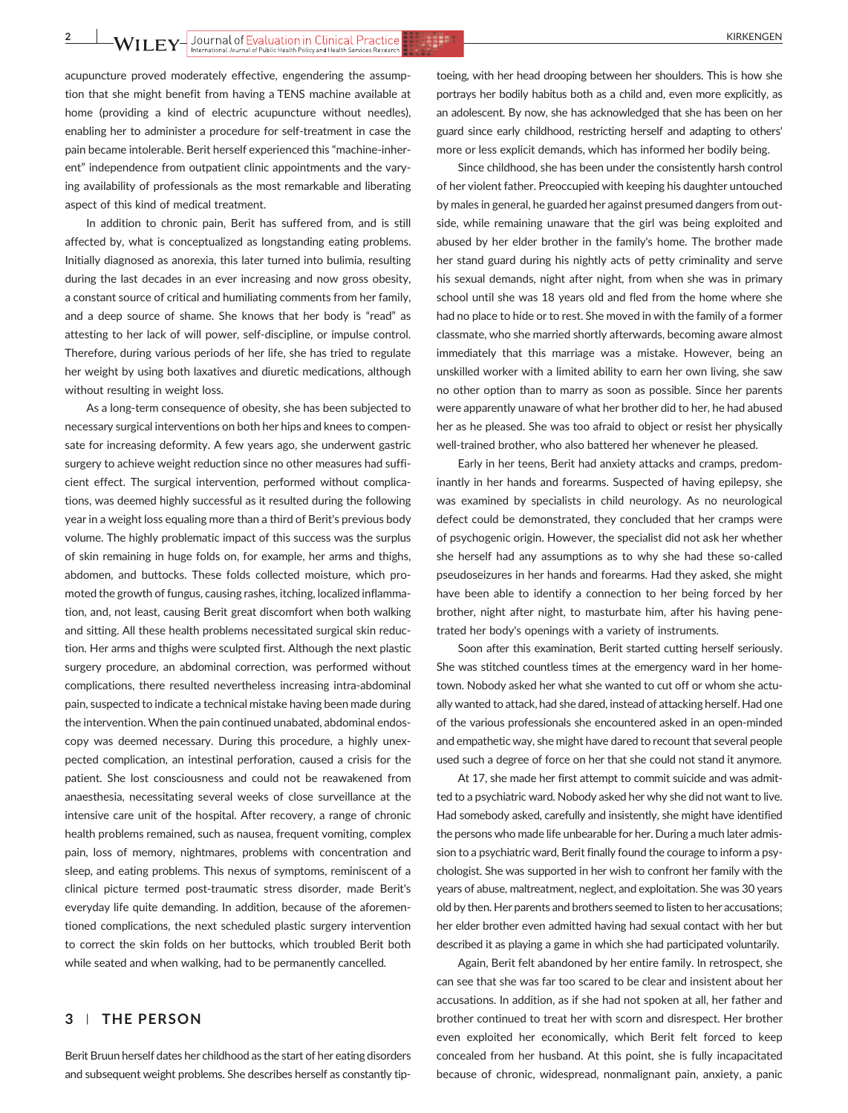acupuncture proved moderately effective, engendering the assumption that she might benefit from having a TENS machine available at home (providing a kind of electric acupuncture without needles), enabling her to administer a procedure for self‐treatment in case the pain became intolerable. Berit herself experienced this "machine‐inherent" independence from outpatient clinic appointments and the varying availability of professionals as the most remarkable and liberating aspect of this kind of medical treatment.

In addition to chronic pain, Berit has suffered from, and is still affected by, what is conceptualized as longstanding eating problems. Initially diagnosed as anorexia, this later turned into bulimia, resulting during the last decades in an ever increasing and now gross obesity, a constant source of critical and humiliating comments from her family, and a deep source of shame. She knows that her body is "read" as attesting to her lack of will power, self‐discipline, or impulse control. Therefore, during various periods of her life, she has tried to regulate her weight by using both laxatives and diuretic medications, although without resulting in weight loss.

As a long‐term consequence of obesity, she has been subjected to necessary surgical interventions on both her hips and knees to compensate for increasing deformity. A few years ago, she underwent gastric surgery to achieve weight reduction since no other measures had sufficient effect. The surgical intervention, performed without complications, was deemed highly successful as it resulted during the following year in a weight loss equaling more than a third of Berit's previous body volume. The highly problematic impact of this success was the surplus of skin remaining in huge folds on, for example, her arms and thighs, abdomen, and buttocks. These folds collected moisture, which promoted the growth of fungus, causing rashes, itching, localized inflammation, and, not least, causing Berit great discomfort when both walking and sitting. All these health problems necessitated surgical skin reduction. Her arms and thighs were sculpted first. Although the next plastic surgery procedure, an abdominal correction, was performed without complications, there resulted nevertheless increasing intra‐abdominal pain, suspected to indicate a technical mistake having been made during the intervention. When the pain continued unabated, abdominal endoscopy was deemed necessary. During this procedure, a highly unexpected complication, an intestinal perforation, caused a crisis for the patient. She lost consciousness and could not be reawakened from anaesthesia, necessitating several weeks of close surveillance at the intensive care unit of the hospital. After recovery, a range of chronic health problems remained, such as nausea, frequent vomiting, complex pain, loss of memory, nightmares, problems with concentration and sleep, and eating problems. This nexus of symptoms, reminiscent of a clinical picture termed post‐traumatic stress disorder, made Berit's everyday life quite demanding. In addition, because of the aforementioned complications, the next scheduled plastic surgery intervention to correct the skin folds on her buttocks, which troubled Berit both while seated and when walking, had to be permanently cancelled.

#### 3 | THE PERSON

Berit Bruun herself dates her childhood as the start of her eating disorders and subsequent weight problems. She describes herself as constantly tip-

toeing, with her head drooping between her shoulders. This is how she portrays her bodily habitus both as a child and, even more explicitly, as an adolescent. By now, she has acknowledged that she has been on her guard since early childhood, restricting herself and adapting to others' more or less explicit demands, which has informed her bodily being.

Since childhood, she has been under the consistently harsh control of her violent father. Preoccupied with keeping his daughter untouched by males in general, he guarded her against presumed dangers from outside, while remaining unaware that the girl was being exploited and abused by her elder brother in the family's home. The brother made her stand guard during his nightly acts of petty criminality and serve his sexual demands, night after night, from when she was in primary school until she was 18 years old and fled from the home where she had no place to hide or to rest. She moved in with the family of a former classmate, who she married shortly afterwards, becoming aware almost immediately that this marriage was a mistake. However, being an unskilled worker with a limited ability to earn her own living, she saw no other option than to marry as soon as possible. Since her parents were apparently unaware of what her brother did to her, he had abused her as he pleased. She was too afraid to object or resist her physically well-trained brother, who also battered her whenever he pleased.

Early in her teens, Berit had anxiety attacks and cramps, predominantly in her hands and forearms. Suspected of having epilepsy, she was examined by specialists in child neurology. As no neurological defect could be demonstrated, they concluded that her cramps were of psychogenic origin. However, the specialist did not ask her whether she herself had any assumptions as to why she had these so-called pseudoseizures in her hands and forearms. Had they asked, she might have been able to identify a connection to her being forced by her brother, night after night, to masturbate him, after his having penetrated her body's openings with a variety of instruments.

Soon after this examination, Berit started cutting herself seriously. She was stitched countless times at the emergency ward in her hometown. Nobody asked her what she wanted to cut off or whom she actually wanted to attack, had she dared, instead of attacking herself. Had one of the various professionals she encountered asked in an open‐minded and empathetic way, she might have dared to recount that several people used such a degree of force on her that she could not stand it anymore.

At 17, she made her first attempt to commit suicide and was admitted to a psychiatric ward. Nobody asked her why she did not want to live. Had somebody asked, carefully and insistently, she might have identified the persons who made life unbearable for her. During a much later admission to a psychiatric ward, Berit finally found the courage to inform a psychologist. She was supported in her wish to confront her family with the years of abuse, maltreatment, neglect, and exploitation. She was 30 years old by then. Her parents and brothers seemed to listen to her accusations; her elder brother even admitted having had sexual contact with her but described it as playing a game in which she had participated voluntarily.

Again, Berit felt abandoned by her entire family. In retrospect, she can see that she was far too scared to be clear and insistent about her accusations. In addition, as if she had not spoken at all, her father and brother continued to treat her with scorn and disrespect. Her brother even exploited her economically, which Berit felt forced to keep concealed from her husband. At this point, she is fully incapacitated because of chronic, widespread, nonmalignant pain, anxiety, a panic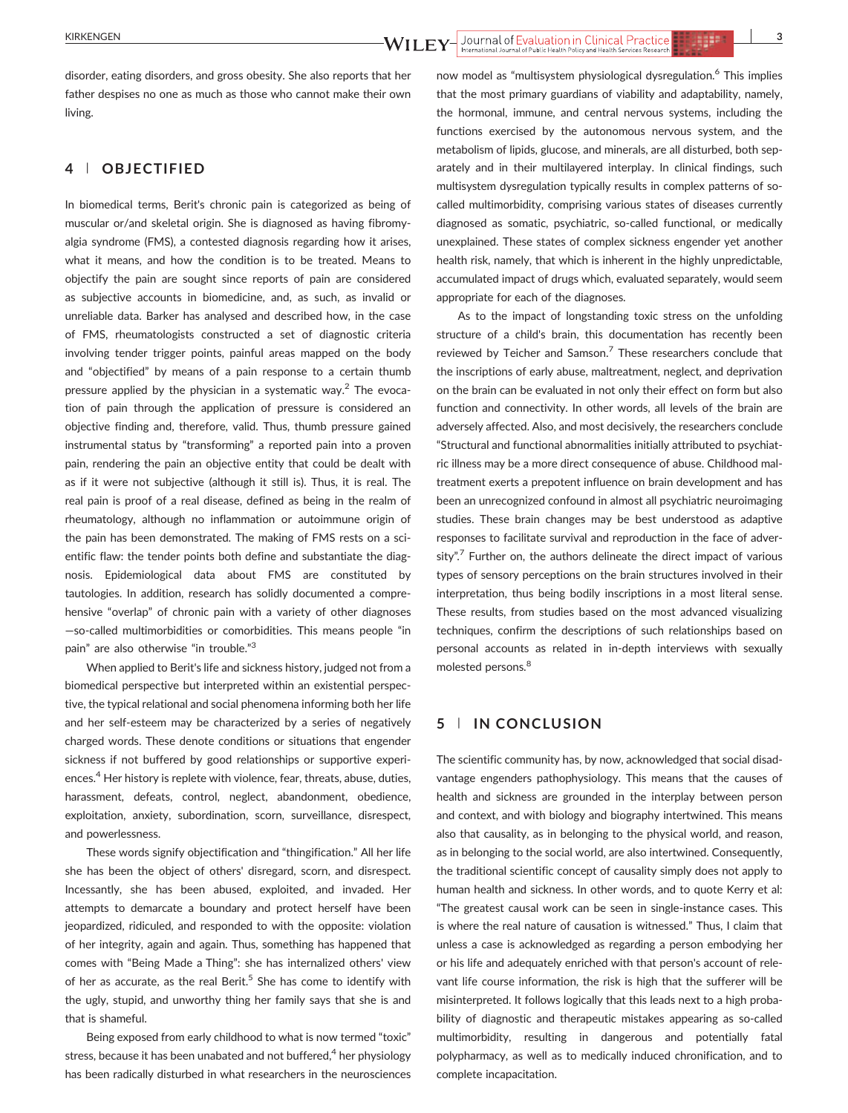disorder, eating disorders, and gross obesity. She also reports that her father despises no one as much as those who cannot make their own living.

## 4 | OBJECTIFIED

In biomedical terms, Berit's chronic pain is categorized as being of muscular or/and skeletal origin. She is diagnosed as having fibromyalgia syndrome (FMS), a contested diagnosis regarding how it arises, what it means, and how the condition is to be treated. Means to objectify the pain are sought since reports of pain are considered as subjective accounts in biomedicine, and, as such, as invalid or unreliable data. Barker has analysed and described how, in the case of FMS, rheumatologists constructed a set of diagnostic criteria involving tender trigger points, painful areas mapped on the body and "objectified" by means of a pain response to a certain thumb pressure applied by the physician in a systematic way.<sup>2</sup> The evocation of pain through the application of pressure is considered an objective finding and, therefore, valid. Thus, thumb pressure gained instrumental status by "transforming" a reported pain into a proven pain, rendering the pain an objective entity that could be dealt with as if it were not subjective (although it still is). Thus, it is real. The real pain is proof of a real disease, defined as being in the realm of rheumatology, although no inflammation or autoimmune origin of the pain has been demonstrated. The making of FMS rests on a scientific flaw: the tender points both define and substantiate the diagnosis. Epidemiological data about FMS are constituted by tautologies. In addition, research has solidly documented a comprehensive "overlap" of chronic pain with a variety of other diagnoses —so‐called multimorbidities or comorbidities. This means people "in pain" are also otherwise "in trouble."3

When applied to Berit's life and sickness history, judged not from a biomedical perspective but interpreted within an existential perspective, the typical relational and social phenomena informing both her life and her self‐esteem may be characterized by a series of negatively charged words. These denote conditions or situations that engender sickness if not buffered by good relationships or supportive experiences.<sup>4</sup> Her history is replete with violence, fear, threats, abuse, duties, harassment, defeats, control, neglect, abandonment, obedience, exploitation, anxiety, subordination, scorn, surveillance, disrespect, and powerlessness.

These words signify objectification and "thingification." All her life she has been the object of others' disregard, scorn, and disrespect. Incessantly, she has been abused, exploited, and invaded. Her attempts to demarcate a boundary and protect herself have been jeopardized, ridiculed, and responded to with the opposite: violation of her integrity, again and again. Thus, something has happened that comes with "Being Made a Thing": she has internalized others' view of her as accurate, as the real Berit.<sup>5</sup> She has come to identify with the ugly, stupid, and unworthy thing her family says that she is and that is shameful.

Being exposed from early childhood to what is now termed "toxic" stress, because it has been unabated and not buffered,<sup>4</sup> her physiology has been radically disturbed in what researchers in the neurosciences now model as "multisystem physiological dysregulation.6 This implies that the most primary guardians of viability and adaptability, namely, the hormonal, immune, and central nervous systems, including the functions exercised by the autonomous nervous system, and the metabolism of lipids, glucose, and minerals, are all disturbed, both separately and in their multilayered interplay. In clinical findings, such multisystem dysregulation typically results in complex patterns of socalled multimorbidity, comprising various states of diseases currently diagnosed as somatic, psychiatric, so‐called functional, or medically unexplained. These states of complex sickness engender yet another health risk, namely, that which is inherent in the highly unpredictable, accumulated impact of drugs which, evaluated separately, would seem appropriate for each of the diagnoses.

As to the impact of longstanding toxic stress on the unfolding structure of a child's brain, this documentation has recently been reviewed by Teicher and Samson.<sup>7</sup> These researchers conclude that the inscriptions of early abuse, maltreatment, neglect, and deprivation on the brain can be evaluated in not only their effect on form but also function and connectivity. In other words, all levels of the brain are adversely affected. Also, and most decisively, the researchers conclude "Structural and functional abnormalities initially attributed to psychiatric illness may be a more direct consequence of abuse. Childhood maltreatment exerts a prepotent influence on brain development and has been an unrecognized confound in almost all psychiatric neuroimaging studies. These brain changes may be best understood as adaptive responses to facilitate survival and reproduction in the face of adversity".<sup>7</sup> Further on, the authors delineate the direct impact of various types of sensory perceptions on the brain structures involved in their interpretation, thus being bodily inscriptions in a most literal sense. These results, from studies based on the most advanced visualizing techniques, confirm the descriptions of such relationships based on personal accounts as related in in‐depth interviews with sexually molested persons.<sup>8</sup>

## 5 | IN CONCLUSION

The scientific community has, by now, acknowledged that social disadvantage engenders pathophysiology. This means that the causes of health and sickness are grounded in the interplay between person and context, and with biology and biography intertwined. This means also that causality, as in belonging to the physical world, and reason, as in belonging to the social world, are also intertwined. Consequently, the traditional scientific concept of causality simply does not apply to human health and sickness. In other words, and to quote Kerry et al: "The greatest causal work can be seen in single‐instance cases. This is where the real nature of causation is witnessed." Thus, I claim that unless a case is acknowledged as regarding a person embodying her or his life and adequately enriched with that person's account of relevant life course information, the risk is high that the sufferer will be misinterpreted. It follows logically that this leads next to a high probability of diagnostic and therapeutic mistakes appearing as so-called multimorbidity, resulting in dangerous and potentially fatal polypharmacy, as well as to medically induced chronification, and to complete incapacitation.